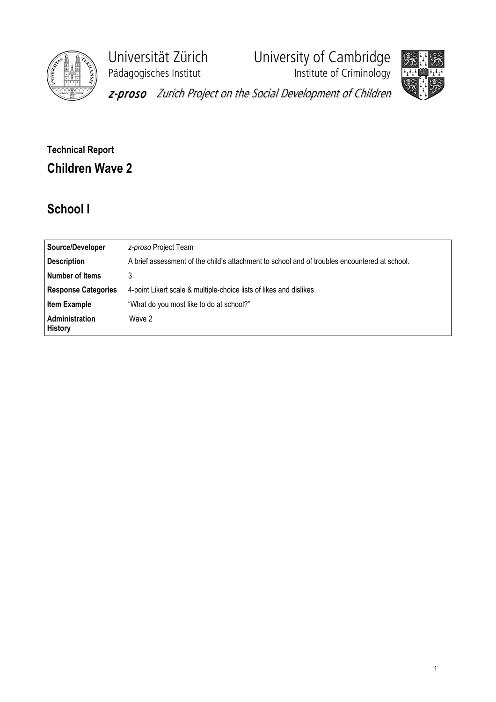

Pädagogisches Institut **Institute of Criminology** 

Universität Zürich University of Cambridge



z-proso Zurich Project on the Social Development of Children

# Technical Report Children Wave 2

# School I

| Source/Developer                 | z-proso Project Team                                                                          |
|----------------------------------|-----------------------------------------------------------------------------------------------|
| <b>Description</b>               | A brief assessment of the child's attachment to school and of troubles encountered at school. |
| <b>Number of Items</b>           | 3                                                                                             |
| <b>Response Categories</b>       | 4-point Likert scale & multiple-choice lists of likes and dislikes                            |
| <b>Item Example</b>              | "What do you most like to do at school?"                                                      |
| Administration<br><b>History</b> | Wave 2                                                                                        |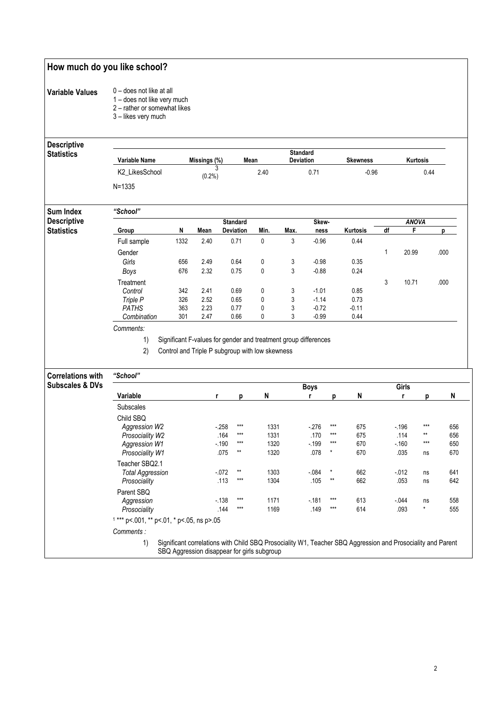### How much do you like school?

#### Variable Values 0 – does not like at all

- 1 does not like very much
	- 2 rather or somewhat likes
	- 3 likes very much

#### **Descriptive**  $\overline{s}$

| <b>Descriptive</b> |                |                |              |                  |           |                                                        |         |          |              |       |      |
|--------------------|----------------|----------------|--------------|------------------|-----------|--------------------------------------------------------|---------|----------|--------------|-------|------|
| <b>Statistics</b>  | Variable Name  |                | Missings (%) |                  | Mean      | <b>Standard</b><br><b>Deviation</b><br><b>Skewness</b> |         |          | Kurtosis     |       |      |
|                    | K2 LikesSchool | 3<br>$(0.2\%)$ |              |                  | 2.40      |                                                        | 0.71    |          | $-0.96$      |       | 0.44 |
|                    | $N = 1335$     |                |              |                  |           |                                                        |         |          |              |       |      |
| <b>Sum Index</b>   | "School"       |                |              |                  |           |                                                        |         |          |              |       |      |
| <b>Descriptive</b> |                |                |              | <b>Standard</b>  |           | Skew-                                                  |         |          | <b>ANOVA</b> |       |      |
| <b>Statistics</b>  | Group          | N              | Mean         | <b>Deviation</b> | Min.      | Max.                                                   | ness    | Kurtosis | df           | F     | D    |
|                    | Full sample    | 1332           | 2.40         | 0.71             | 0         | 3                                                      | $-0.96$ | 0.44     |              |       |      |
|                    | Gender         |                |              |                  |           |                                                        |         |          | 1            | 20.99 | .000 |
|                    | Girls          | 656            | 2.49         | 0.64             | 0         | 3                                                      | $-0.98$ | 0.35     |              |       |      |
|                    | Boys           | 676            | 2.32         | 0.75             | 0         | 3                                                      | $-0.88$ | 0.24     |              |       |      |
|                    | Treatment      |                |              |                  |           |                                                        |         |          | 3            | 10.71 | .000 |
|                    | Control        | 342            | 2.41         | 0.69             | 0         | 3                                                      | $-1.01$ | 0.85     |              |       |      |
|                    | Triple P       | 326            | 2.52         | 0.65             | $\pmb{0}$ | 3                                                      | $-1.14$ | 0.73     |              |       |      |
|                    | <b>PATHS</b>   | 363            | 2.23         | 0.77             | 0         | 3                                                      | $-0.72$ | $-0.11$  |              |       |      |
|                    | Combination    | 301            | 2.47         | 0.66             | 0         | 3                                                      | $-0.99$ | 0.44     |              |       |      |
|                    | Comments:      |                |              |                  |           |                                                        |         |          |              |       |      |

1) Significant F-values for gender and treatment group differences

2) Control and Triple P subgroup with low skewness

| <b>Correlations with</b><br><b>Subscales &amp; DVs</b> | "School"                                   |                                                                                                             |       |      |        |         |     |          |         |     |
|--------------------------------------------------------|--------------------------------------------|-------------------------------------------------------------------------------------------------------------|-------|------|--------|---------|-----|----------|---------|-----|
|                                                        | <b>Boys</b><br>Girls                       |                                                                                                             |       |      |        |         |     |          |         |     |
|                                                        | Variable                                   |                                                                                                             | р     | N    |        | р       | N   |          |         | N   |
|                                                        | <b>Subscales</b>                           |                                                                                                             |       |      |        |         |     |          |         |     |
|                                                        | Child SBQ                                  |                                                                                                             |       |      |        |         |     |          |         |     |
|                                                        | Aggression W2                              | $-258$                                                                                                      | $***$ | 1331 | $-276$ | $***$   | 675 | $-196$   | $***$   | 656 |
|                                                        | Prosociality W2                            | .164                                                                                                        | $***$ | 1331 | .170   | $***$   | 675 | .114     | $***$   | 656 |
|                                                        | Aggression W1                              | $-190$                                                                                                      | $***$ | 1320 | $-199$ | $***$   | 670 | $-160$   | ***     | 650 |
|                                                        | Prosociality W1                            | .075                                                                                                        | $**$  | 1320 | .078   | $\star$ | 670 | .035     | ns      | 670 |
|                                                        | Teacher SBQ2.1                             |                                                                                                             |       |      |        |         |     |          |         |     |
|                                                        | <b>Total Aggression</b>                    | $-072$                                                                                                      | $**$  | 1303 | $-084$ | *       | 662 | $-0.012$ | ns      | 641 |
|                                                        | Prosociality                               | .113                                                                                                        | $***$ | 1304 | .105   | $**$    | 662 | .053     | ns      | 642 |
|                                                        | Parent SBQ                                 |                                                                                                             |       |      |        |         |     |          |         |     |
|                                                        | Aggression                                 | $-138$                                                                                                      | $***$ | 1171 | $-181$ | $***$   | 613 | $-0.044$ | ns      | 558 |
|                                                        | Prosociality                               | .144                                                                                                        | $***$ | 1169 | .149   | $***$   | 614 | .093     | $\star$ | 555 |
|                                                        | $1***$ p<.001, ** p<.01, * p<.05, ns p>.05 |                                                                                                             |       |      |        |         |     |          |         |     |
|                                                        | Comments:                                  |                                                                                                             |       |      |        |         |     |          |         |     |
|                                                        | 1)                                         | Significant correlations with Child SBQ Prosociality W1, Teacher SBQ Aggression and Prosociality and Parent |       |      |        |         |     |          |         |     |

SBQ Aggression disappear for girls subgroup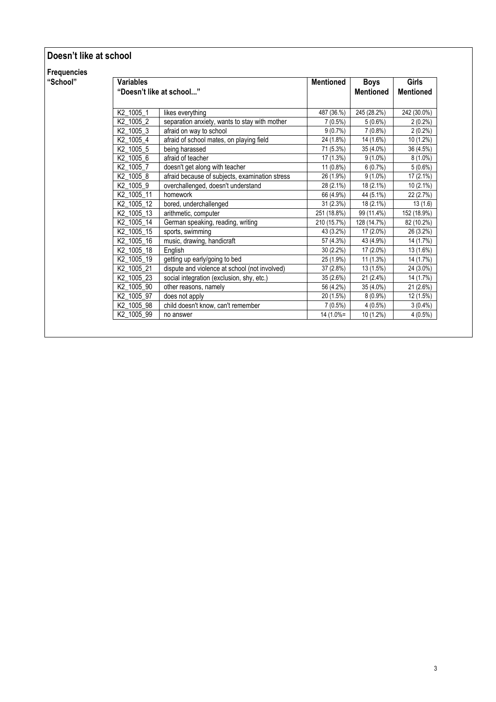### Doesn't like at school

Frequencies

| "School" | <b>Variables</b>         |                                                | <b>Mentioned</b> | <b>Boys</b>      | <b>Girls</b>     |
|----------|--------------------------|------------------------------------------------|------------------|------------------|------------------|
|          | "Doesn't like at school" |                                                |                  | <b>Mentioned</b> | <b>Mentioned</b> |
|          |                          |                                                |                  |                  |                  |
|          | K2 1005 1                | likes everything                               | 487 (36.%)       | 245 (28.2%)      | 242 (30.0%)      |
|          | K2_1005_2                | separation anxiety, wants to stay with mother  | $7(0.5\%)$       | $5(0.6\%)$       | $2(0.2\%)$       |
|          | K2_1005_3                | afraid on way to school                        | $9(0.7\%)$       | $7(0.8\%)$       | $2(0.2\%)$       |
|          | $K2$ _1005_4             | afraid of school mates, on playing field       | 24 (1.8%)        | 14 (1.6%)        | 10 (1.2%)        |
|          | K2_1005_5                | being harassed                                 | 71 (5.3%)        | 35 (4.0%)        | 36 (4.5%)        |
|          | K2_1005_6                | afraid of teacher                              | 17 (1.3%)        | $9(1.0\%)$       | $8(1.0\%)$       |
|          | K2_1005_7                | doesn't get along with teacher                 | $11(0.8\%)$      | 6(0.7%)          | 5(0.6%)          |
|          | K2_1005_8                | afraid because of subjects, examination stress | 26 (1.9%)        | $9(1.0\%)$       | 17 (2.1%)        |
|          | K2_1005_9                | overchallenged, doesn't understand             | 28 (2.1%)        | 18 (2.1%)        | 10 (2.1%)        |
|          | K2 1005 11               | homework                                       | 66 (4.9%)        | 44 (5.1%)        | 22 (2.7%)        |
|          | K2_1005_12               | bored, underchallenged                         | 31(2.3%)         | $18(2.1\%)$      | 13(1.6)          |
|          | K2_1005_13               | arithmetic, computer                           | 251 (18.8%)      | 99 (11.4%)       | 152 (18.9%)      |
|          | K2 1005 14               | German speaking, reading, writing              | 210 (15.7%)      | 128 (14.7%)      | 82 (10.2%)       |
|          | K2_1005_15               | sports, swimming                               | 43 (3.2%)        | 17 (2.0%)        | 26 (3.2%)        |
|          | K2_1005_16               | music, drawing, handicraft                     | 57 (4.3%)        | 43 (4.9%)        | 14 (1.7%)        |
|          | K2 1005 18               | English                                        | $30(2.2\%)$      | 17 (2.0%)        | 13 (1.6%)        |
|          | K2_1005_19               | getting up early/going to bed                  | 25 (1.9%)        | $11(1.3\%)$      | 14 (1.7%)        |
|          | K2_1005_21               | dispute and violence at school (not involved)  | 37 (2.8%)        | 13 (1.5%)        | 24 (3.0%)        |
|          | K2 1005 23               | social integration (exclusion, shy, etc.)      | 35 (2.6%)        | 21 (2.4%)        | 14 (1.7%)        |
|          | K2_1005_90               | other reasons, namely                          | 56 (4.2%)        | 35 (4.0%)        | 21 (2.6%)        |
|          | K2_1005_97               | does not apply                                 | 20 (1.5%)        | $8(0.9\%)$       | 12 (1.5%)        |
|          | K2_1005_98               | child doesn't know, can't remember             | $7(0.5\%)$       | $4(0.5\%)$       | $3(0.4\%)$       |
|          | K2_1005_99               | no answer                                      | $14(1.0% =$      | 10 (1.2%)        | $4(0.5\%)$       |